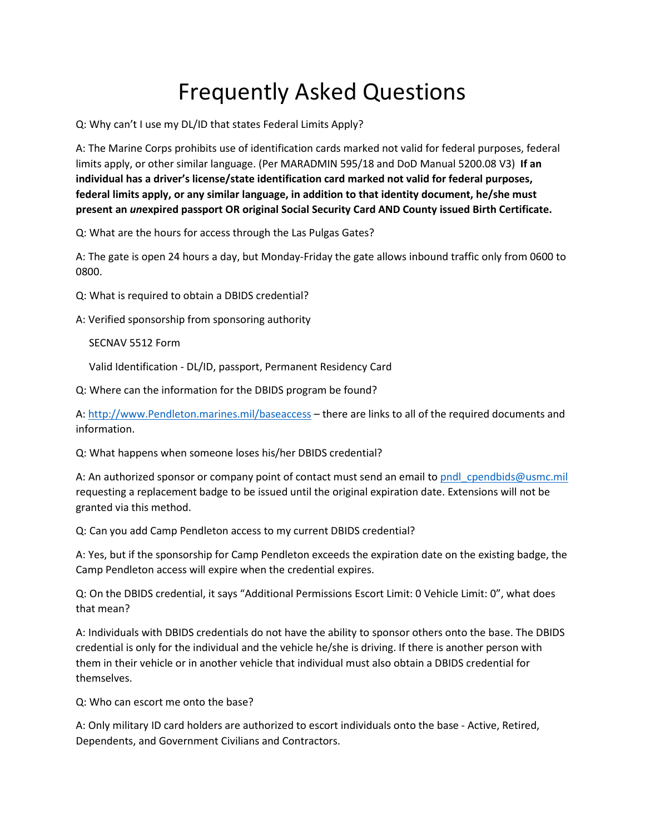## Frequently Asked Questions

Q: Why can't I use my DL/ID that states Federal Limits Apply?

A: The Marine Corps prohibits use of identification cards marked not valid for federal purposes, federal limits apply, or other similar language. (Per MARADMIN 595/18 and DoD Manual 5200.08 V3) **If an individual has a driver's license/state identification card marked not valid for federal purposes, federal limits apply, or any similar language, in addition to that identity document, he/she must present an** *un***expired passport OR original Social Security Card AND County issued Birth Certificate.**

Q: What are the hours for access through the Las Pulgas Gates?

A: The gate is open 24 hours a day, but Monday-Friday the gate allows inbound traffic only from 0600 to 0800.

Q: What is required to obtain a DBIDS credential?

A: Verified sponsorship from sponsoring authority

SECNAV 5512 Form

Valid Identification - DL/ID, passport, Permanent Residency Card

Q: Where can the information for the DBIDS program be found?

A: [http://www.Pendleton.marines.mil/baseaccess](http://www.pendleton.marines.mil/baseaccess) – there are links to all of the required documents and information.

Q: What happens when someone loses his/her DBIDS credential?

A: An authorized sponsor or company point of contact must send an email to pndl cpendbids@usmc.mil requesting a replacement badge to be issued until the original expiration date. Extensions will not be granted via this method.

Q: Can you add Camp Pendleton access to my current DBIDS credential?

A: Yes, but if the sponsorship for Camp Pendleton exceeds the expiration date on the existing badge, the Camp Pendleton access will expire when the credential expires.

Q: On the DBIDS credential, it says "Additional Permissions Escort Limit: 0 Vehicle Limit: 0", what does that mean?

A: Individuals with DBIDS credentials do not have the ability to sponsor others onto the base. The DBIDS credential is only for the individual and the vehicle he/she is driving. If there is another person with them in their vehicle or in another vehicle that individual must also obtain a DBIDS credential for themselves.

Q: Who can escort me onto the base?

A: Only military ID card holders are authorized to escort individuals onto the base - Active, Retired, Dependents, and Government Civilians and Contractors.